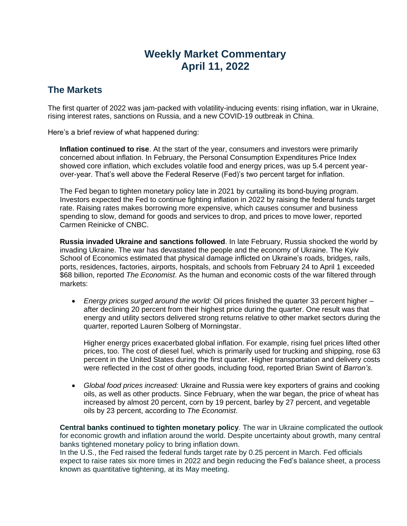# **Weekly Market Commentary April 11, 2022**

## **The Markets**

The first quarter of 2022 was jam-packed with volatility-inducing events: rising inflation, war in Ukraine, rising interest rates, sanctions on Russia, and a new COVID-19 outbreak in China.

Here's a brief review of what happened during:

**Inflation continued to rise**. At the start of the year, consumers and investors were primarily concerned about inflation. In February, the Personal Consumption Expenditures Price Index showed core inflation, which excludes volatile food and energy prices, was up 5.4 percent yearover-year. That's well above the Federal Reserve (Fed)'s two percent target for inflation.

The Fed began to tighten monetary policy late in 2021 by curtailing its bond-buying program. Investors expected the Fed to continue fighting inflation in 2022 by raising the federal funds target rate. Raising rates makes borrowing more expensive, which causes consumer and business spending to slow, demand for goods and services to drop, and prices to move lower, reported Carmen Reinicke of CNBC.

**Russia invaded Ukraine and sanctions followed**. In late February, Russia shocked the world by invading Ukraine. The war has devastated the people and the economy of Ukraine. The Kyiv School of Economics estimated that physical damage inflicted on Ukraine's roads, bridges, rails, ports, residences, factories, airports, hospitals, and schools from February 24 to April 1 exceeded \$68 billion, reported *The Economist*. As the human and economic costs of the war filtered through markets:

• *Energy prices surged around the world:* Oil prices finished the quarter 33 percent higher – after declining 20 percent from their highest price during the quarter. One result was that energy and utility sectors delivered strong returns relative to other market sectors during the quarter, reported Lauren Solberg of Morningstar.

Higher energy prices exacerbated global inflation. For example, rising fuel prices lifted other prices, too. The cost of diesel fuel, which is primarily used for trucking and shipping, rose 63 percent in the United States during the first quarter. Higher transportation and delivery costs were reflected in the cost of other goods, including food, reported Brian Swint of *Barron's*.

• *Global food prices increased:* Ukraine and Russia were key exporters of grains and cooking oils, as well as other products. Since February, when the war began, the price of wheat has increased by almost 20 percent, corn by 19 percent, barley by 27 percent, and vegetable oils by 23 percent, according to *The Economist*.

**Central banks continued to tighten monetary policy**. The war in Ukraine complicated the outlook for economic growth and inflation around the world. Despite uncertainty about growth, many central banks tightened monetary policy to bring inflation down.

In the U.S., the Fed raised the federal funds target rate by 0.25 percent in March. Fed officials expect to raise rates six more times in 2022 and begin reducing the Fed's balance sheet, a process known as quantitative tightening, at its May meeting.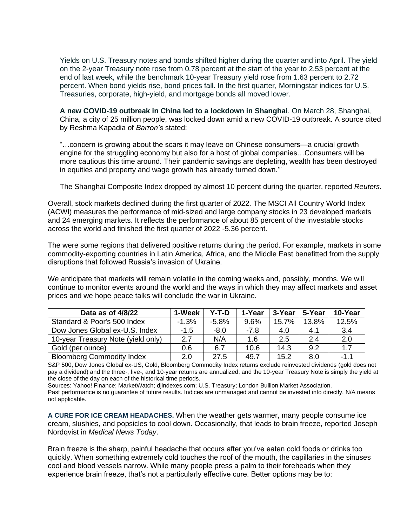Yields on U.S. Treasury notes and bonds shifted higher during the quarter and into April. The yield on the 2-year Treasury note rose from 0.78 percent at the start of the year to 2.53 percent at the end of last week, while the benchmark 10-year Treasury yield rose from 1.63 percent to 2.72 percent. When bond yields rise, bond prices fall. In the first quarter, Morningstar indices for U.S. Treasuries, corporate, high-yield, and mortgage bonds all moved lower.

**A new COVID-19 outbreak in China led to a lockdown in Shanghai**. On March 28, Shanghai, China, a city of 25 million people, was locked down amid a new COVID-19 outbreak. A source cited by Reshma Kapadia of *Barron's* stated:

"…concern is growing about the scars it may leave on Chinese consumers—a crucial growth engine for the struggling economy but also for a host of global companies…Consumers will be more cautious this time around. Their pandemic savings are depleting, wealth has been destroyed in equities and property and wage growth has already turned down.'"

The Shanghai Composite Index dropped by almost 10 percent during the quarter, reported *Reuters.*

Overall, stock markets declined during the first quarter of 2022. The MSCI All Country World Index (ACWI) measures the performance of mid-sized and large company stocks in 23 developed markets and 24 emerging markets. It reflects the performance of about 85 percent of the investable stocks across the world and finished the first quarter of 2022 -5.36 percent.

The were some regions that delivered positive returns during the period. For example, markets in some commodity-exporting countries in Latin America, Africa, and the Middle East benefitted from the supply disruptions that followed Russia's invasion of Ukraine.

We anticipate that markets will remain volatile in the coming weeks and, possibly, months. We will continue to monitor events around the world and the ways in which they may affect markets and asset prices and we hope peace talks will conclude the war in Ukraine.

| Data as of 4/8/22                  | 1-Week  | Y-T-D   | 1-Year | 3-Year | 5-Year | 10-Year |
|------------------------------------|---------|---------|--------|--------|--------|---------|
| Standard & Poor's 500 Index        | $-1.3%$ | $-5.8%$ | 9.6%   | 15.7%  | 13.8%  | 12.5%   |
| Dow Jones Global ex-U.S. Index     | $-1.5$  | $-8.0$  | $-7.8$ | 4.0    | 4.1    | 3.4     |
| 10-year Treasury Note (yield only) | 2.7     | N/A     | 1.6    | 2.5    | 2.4    | 2.0     |
| Gold (per ounce)                   | 0.6     | 6.7     | 10.6   | 14.3   | 9.2    | 1.7     |
| <b>Bloomberg Commodity Index</b>   | 2.0     | 27.5    | 49.7   | 15.2   | 8.0    | $-1.1$  |

S&P 500, Dow Jones Global ex-US, Gold, Bloomberg Commodity Index returns exclude reinvested dividends (gold does not pay a dividend) and the three-, five-, and 10-year returns are annualized; and the 10-year Treasury Note is simply the yield at the close of the day on each of the historical time periods.

Sources: Yahoo! Finance; MarketWatch; djindexes.com; U.S. Treasury; London Bullion Market Association.

Past performance is no guarantee of future results. Indices are unmanaged and cannot be invested into directly. N/A means not applicable.

**A CURE FOR ICE CREAM HEADACHES.** When the weather gets warmer, many people consume ice cream, slushies, and popsicles to cool down. Occasionally, that leads to brain freeze, reported Joseph Nordqvist in *Medical News Today*.

Brain freeze is the sharp, painful headache that occurs after you've eaten cold foods or drinks too quickly. When something extremely cold touches the roof of the mouth, the capillaries in the sinuses cool and blood vessels narrow. While many people press a palm to their foreheads when they experience brain freeze, that's not a particularly effective cure. Better options may be to: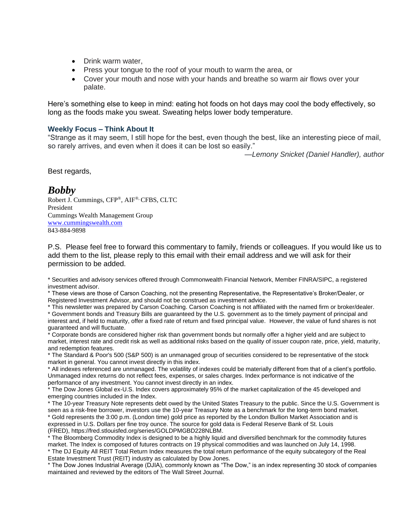- Drink warm water,
- Press your tongue to the roof of your mouth to warm the area, or
- Cover your mouth and nose with your hands and breathe so warm air flows over your palate.

Here's something else to keep in mind: eating hot foods on hot days may cool the body effectively, so long as the foods make you sweat. Sweating helps lower body temperature.

### **Weekly Focus – Think About It**

"Strange as it may seem, I still hope for the best, even though the best, like an interesting piece of mail, so rarely arrives, and even when it does it can be lost so easily."

*—Lemony Snicket (Daniel Handler), author*

Best regards,

### *Bobby*

Robert J. Cummings, CFP®, AIF®, CFBS, CLTC President Cummings Wealth Management Group [www.cummingswealth.com](http://www.cummingswealth.com/) 843-884-9898

P.S. Please feel free to forward this commentary to family, friends or colleagues. If you would like us to add them to the list, please reply to this email with their email address and we will ask for their permission to be added.

\* Securities and advisory services offered through Commonwealth Financial Network, Member FINRA/SIPC, a registered investment advisor.

\* These views are those of Carson Coaching, not the presenting Representative, the Representative's Broker/Dealer, or Registered Investment Advisor, and should not be construed as investment advice.

\* This newsletter was prepared by Carson Coaching. Carson Coaching is not affiliated with the named firm or broker/dealer. \* Government bonds and Treasury Bills are guaranteed by the U.S. government as to the timely payment of principal and interest and, if held to maturity, offer a fixed rate of return and fixed principal value. However, the value of fund shares is not guaranteed and will fluctuate.

\* Corporate bonds are considered higher risk than government bonds but normally offer a higher yield and are subject to market, interest rate and credit risk as well as additional risks based on the quality of issuer coupon rate, price, yield, maturity, and redemption features.

\* The Standard & Poor's 500 (S&P 500) is an unmanaged group of securities considered to be representative of the stock market in general. You cannot invest directly in this index.

\* All indexes referenced are unmanaged. The volatility of indexes could be materially different from that of a client's portfolio. Unmanaged index returns do not reflect fees, expenses, or sales charges. Index performance is not indicative of the performance of any investment. You cannot invest directly in an index.

\* The Dow Jones Global ex-U.S. Index covers approximately 95% of the market capitalization of the 45 developed and emerging countries included in the Index.

\* The 10-year Treasury Note represents debt owed by the United States Treasury to the public. Since the U.S. Government is seen as a risk-free borrower, investors use the 10-year Treasury Note as a benchmark for the long-term bond market. \* Gold represents the 3:00 p.m. (London time) gold price as reported by the London Bullion Market Association and is expressed in U.S. Dollars per fine troy ounce. The source for gold data is Federal Reserve Bank of St. Louis (FRED), https://fred.stlouisfed.org/series/GOLDPMGBD228NLBM.

\* The Bloomberg Commodity Index is designed to be a highly liquid and diversified benchmark for the commodity futures market. The Index is composed of futures contracts on 19 physical commodities and was launched on July 14, 1998. \* The DJ Equity All REIT Total Return Index measures the total return performance of the equity subcategory of the Real Estate Investment Trust (REIT) industry as calculated by Dow Jones.

\* The Dow Jones Industrial Average (DJIA), commonly known as "The Dow," is an index representing 30 stock of companies maintained and reviewed by the editors of The Wall Street Journal.